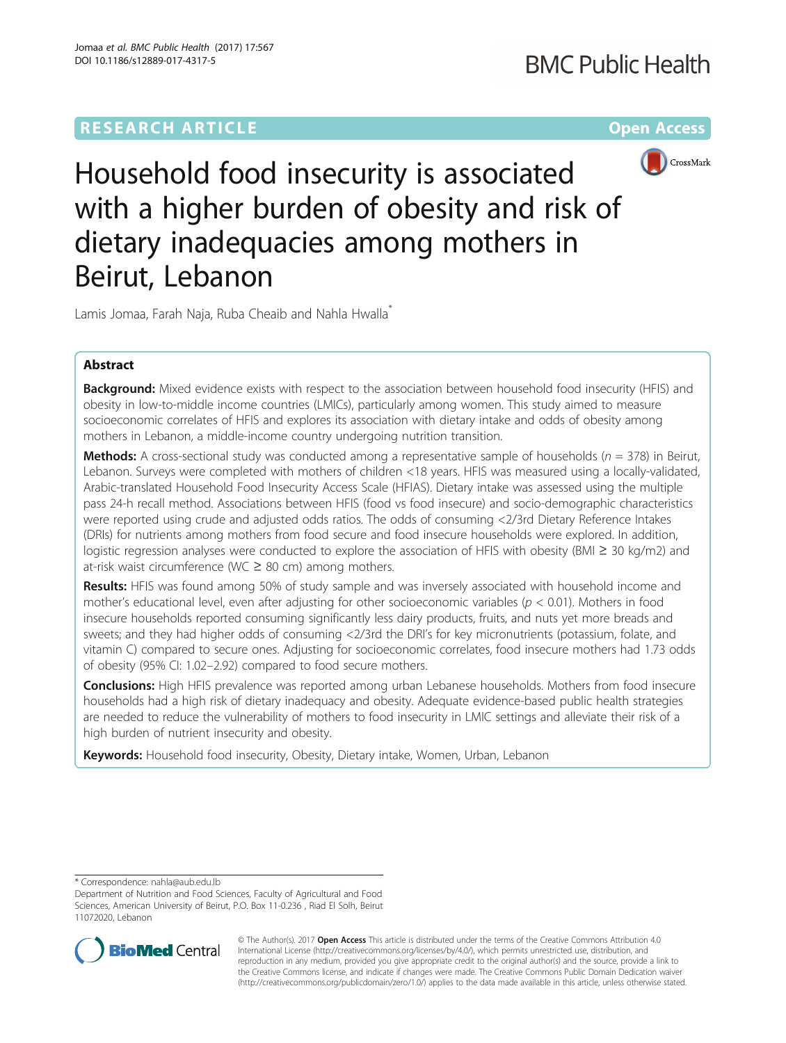# **RESEARCH ARTICLE Example 2014 12:30 The Community Community Community Community Community Community Community**



Household food insecurity is associated with a higher burden of obesity and risk of dietary inadequacies among mothers in Beirut, Lebanon

Lamis Jomaa, Farah Naja, Ruba Cheaib and Nahla Hwalla<sup>\*</sup>

# Abstract

Background: Mixed evidence exists with respect to the association between household food insecurity (HFIS) and obesity in low-to-middle income countries (LMICs), particularly among women. This study aimed to measure socioeconomic correlates of HFIS and explores its association with dietary intake and odds of obesity among mothers in Lebanon, a middle-income country undergoing nutrition transition.

**Methods:** A cross-sectional study was conducted among a representative sample of households ( $n = 378$ ) in Beirut, Lebanon. Surveys were completed with mothers of children <18 years. HFIS was measured using a locally-validated, Arabic-translated Household Food Insecurity Access Scale (HFIAS). Dietary intake was assessed using the multiple pass 24-h recall method. Associations between HFIS (food vs food insecure) and socio-demographic characteristics were reported using crude and adjusted odds ratios. The odds of consuming <2/3rd Dietary Reference Intakes (DRIs) for nutrients among mothers from food secure and food insecure households were explored. In addition, logistic regression analyses were conducted to explore the association of HFIS with obesity (BMI ≥ 30 kg/m2) and at-risk waist circumference (WC  $\geq$  80 cm) among mothers.

Results: HFIS was found among 50% of study sample and was inversely associated with household income and mother's educational level, even after adjusting for other socioeconomic variables ( $p < 0.01$ ). Mothers in food insecure households reported consuming significantly less dairy products, fruits, and nuts yet more breads and sweets; and they had higher odds of consuming <2/3rd the DRI's for key micronutrients (potassium, folate, and vitamin C) compared to secure ones. Adjusting for socioeconomic correlates, food insecure mothers had 1.73 odds of obesity (95% CI: 1.02–2.92) compared to food secure mothers.

**Conclusions:** High HFIS prevalence was reported among urban Lebanese households. Mothers from food insecure households had a high risk of dietary inadequacy and obesity. Adequate evidence-based public health strategies are needed to reduce the vulnerability of mothers to food insecurity in LMIC settings and alleviate their risk of a high burden of nutrient insecurity and obesity.

Keywords: Household food insecurity, Obesity, Dietary intake, Women, Urban, Lebanon

\* Correspondence: [nahla@aub.edu.lb](mailto:nahla@aub.edu.lb)

Department of Nutrition and Food Sciences, Faculty of Agricultural and Food Sciences, American University of Beirut, P.O. Box 11-0.236 , Riad El Solh, Beirut 11072020, Lebanon



© The Author(s). 2017 **Open Access** This article is distributed under the terms of the Creative Commons Attribution 4.0 International License [\(http://creativecommons.org/licenses/by/4.0/](http://creativecommons.org/licenses/by/4.0/)), which permits unrestricted use, distribution, and reproduction in any medium, provided you give appropriate credit to the original author(s) and the source, provide a link to the Creative Commons license, and indicate if changes were made. The Creative Commons Public Domain Dedication waiver [\(http://creativecommons.org/publicdomain/zero/1.0/](http://creativecommons.org/publicdomain/zero/1.0/)) applies to the data made available in this article, unless otherwise stated.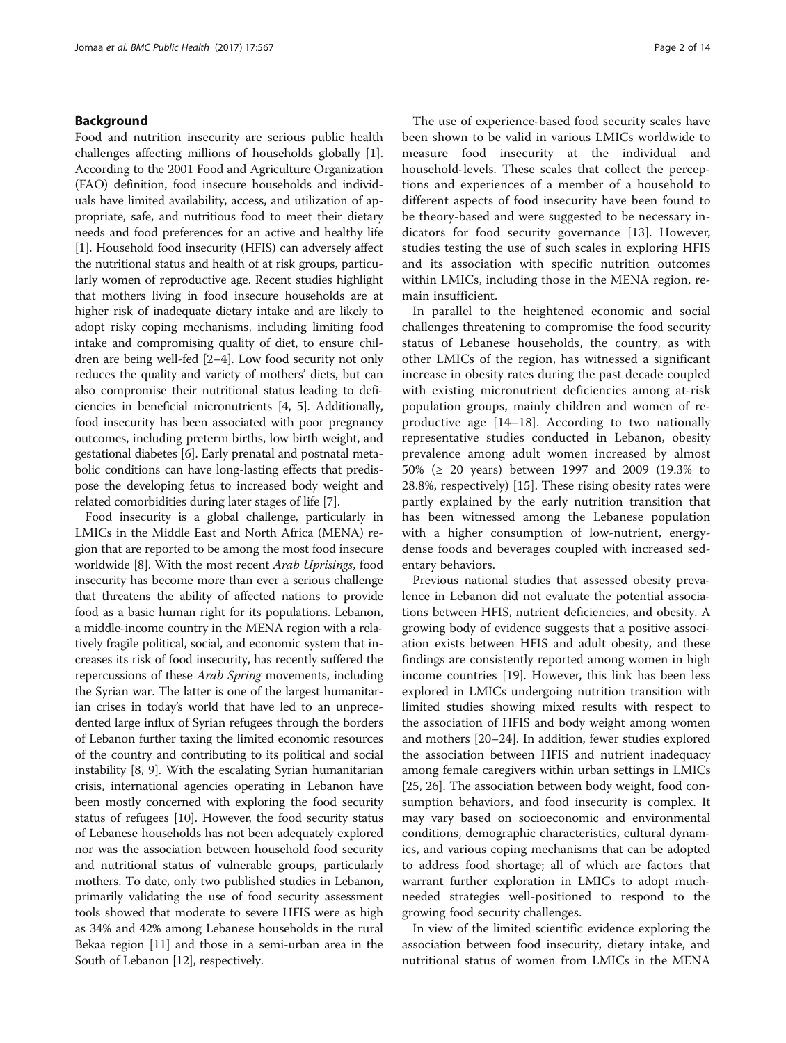# Background

Food and nutrition insecurity are serious public health challenges affecting millions of households globally [\[1](#page-12-0)]. According to the 2001 Food and Agriculture Organization (FAO) definition, food insecure households and individuals have limited availability, access, and utilization of appropriate, safe, and nutritious food to meet their dietary needs and food preferences for an active and healthy life [[1\]](#page-12-0). Household food insecurity (HFIS) can adversely affect the nutritional status and health of at risk groups, particularly women of reproductive age. Recent studies highlight that mothers living in food insecure households are at higher risk of inadequate dietary intake and are likely to adopt risky coping mechanisms, including limiting food intake and compromising quality of diet, to ensure children are being well-fed [[2](#page-12-0)–[4](#page-12-0)]. Low food security not only reduces the quality and variety of mothers' diets, but can also compromise their nutritional status leading to deficiencies in beneficial micronutrients [[4, 5\]](#page-12-0). Additionally, food insecurity has been associated with poor pregnancy outcomes, including preterm births, low birth weight, and gestational diabetes [\[6\]](#page-12-0). Early prenatal and postnatal metabolic conditions can have long-lasting effects that predispose the developing fetus to increased body weight and related comorbidities during later stages of life [[7\]](#page-12-0).

Food insecurity is a global challenge, particularly in LMICs in the Middle East and North Africa (MENA) region that are reported to be among the most food insecure worldwide [\[8](#page-12-0)]. With the most recent Arab Uprisings, food insecurity has become more than ever a serious challenge that threatens the ability of affected nations to provide food as a basic human right for its populations. Lebanon, a middle-income country in the MENA region with a relatively fragile political, social, and economic system that increases its risk of food insecurity, has recently suffered the repercussions of these Arab Spring movements, including the Syrian war. The latter is one of the largest humanitarian crises in today's world that have led to an unprecedented large influx of Syrian refugees through the borders of Lebanon further taxing the limited economic resources of the country and contributing to its political and social instability [\[8, 9](#page-12-0)]. With the escalating Syrian humanitarian crisis, international agencies operating in Lebanon have been mostly concerned with exploring the food security status of refugees [[10](#page-12-0)]. However, the food security status of Lebanese households has not been adequately explored nor was the association between household food security and nutritional status of vulnerable groups, particularly mothers. To date, only two published studies in Lebanon, primarily validating the use of food security assessment tools showed that moderate to severe HFIS were as high as 34% and 42% among Lebanese households in the rural Bekaa region [\[11\]](#page-12-0) and those in a semi-urban area in the South of Lebanon [[12](#page-12-0)], respectively.

The use of experience-based food security scales have been shown to be valid in various LMICs worldwide to measure food insecurity at the individual and household-levels. These scales that collect the perceptions and experiences of a member of a household to different aspects of food insecurity have been found to be theory-based and were suggested to be necessary indicators for food security governance [[13\]](#page-12-0). However, studies testing the use of such scales in exploring HFIS and its association with specific nutrition outcomes within LMICs, including those in the MENA region, remain insufficient.

In parallel to the heightened economic and social challenges threatening to compromise the food security status of Lebanese households, the country, as with other LMICs of the region, has witnessed a significant increase in obesity rates during the past decade coupled with existing micronutrient deficiencies among at-risk population groups, mainly children and women of reproductive age [\[14](#page-12-0)–[18](#page-12-0)]. According to two nationally representative studies conducted in Lebanon, obesity prevalence among adult women increased by almost 50% (≥ 20 years) between 1997 and 2009 (19.3% to 28.8%, respectively) [[15](#page-12-0)]. These rising obesity rates were partly explained by the early nutrition transition that has been witnessed among the Lebanese population with a higher consumption of low-nutrient, energydense foods and beverages coupled with increased sedentary behaviors.

Previous national studies that assessed obesity prevalence in Lebanon did not evaluate the potential associations between HFIS, nutrient deficiencies, and obesity. A growing body of evidence suggests that a positive association exists between HFIS and adult obesity, and these findings are consistently reported among women in high income countries [[19\]](#page-12-0). However, this link has been less explored in LMICs undergoing nutrition transition with limited studies showing mixed results with respect to the association of HFIS and body weight among women and mothers [[20](#page-12-0)–[24](#page-12-0)]. In addition, fewer studies explored the association between HFIS and nutrient inadequacy among female caregivers within urban settings in LMICs [[25, 26\]](#page-12-0). The association between body weight, food consumption behaviors, and food insecurity is complex. It may vary based on socioeconomic and environmental conditions, demographic characteristics, cultural dynamics, and various coping mechanisms that can be adopted to address food shortage; all of which are factors that warrant further exploration in LMICs to adopt muchneeded strategies well-positioned to respond to the growing food security challenges.

In view of the limited scientific evidence exploring the association between food insecurity, dietary intake, and nutritional status of women from LMICs in the MENA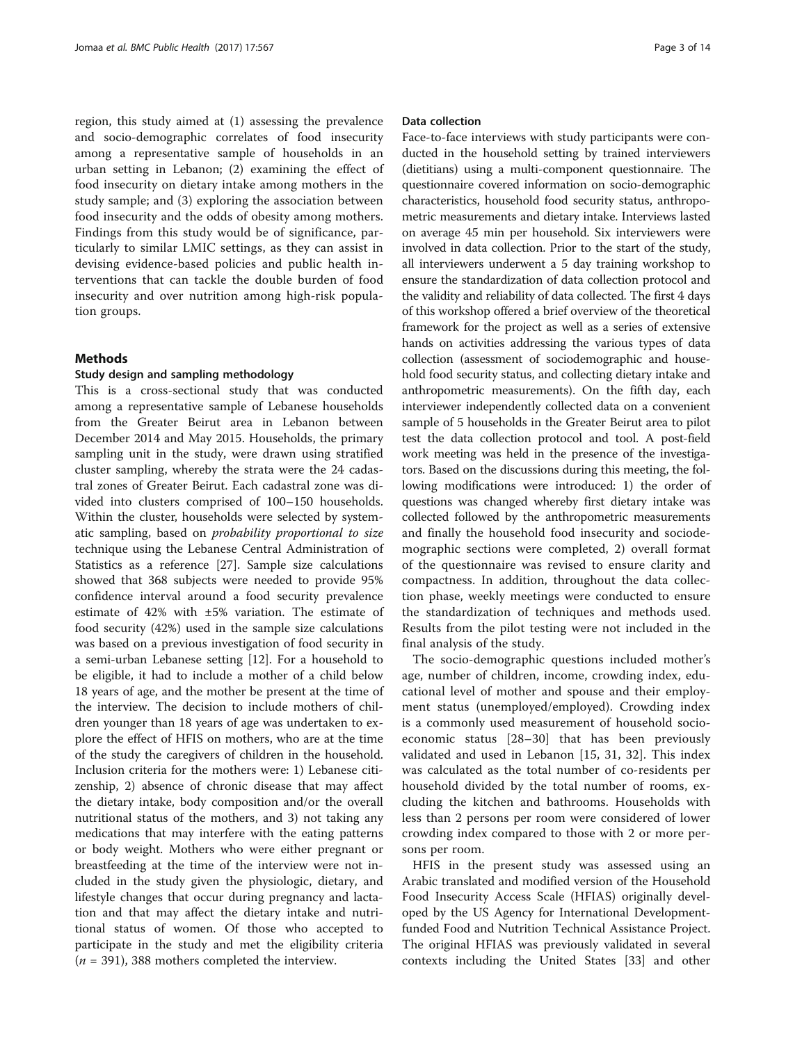region, this study aimed at (1) assessing the prevalence and socio-demographic correlates of food insecurity among a representative sample of households in an urban setting in Lebanon; (2) examining the effect of food insecurity on dietary intake among mothers in the study sample; and (3) exploring the association between food insecurity and the odds of obesity among mothers. Findings from this study would be of significance, particularly to similar LMIC settings, as they can assist in devising evidence-based policies and public health interventions that can tackle the double burden of food insecurity and over nutrition among high-risk population groups.

# Methods

## Study design and sampling methodology

This is a cross-sectional study that was conducted among a representative sample of Lebanese households from the Greater Beirut area in Lebanon between December 2014 and May 2015. Households, the primary sampling unit in the study, were drawn using stratified cluster sampling, whereby the strata were the 24 cadastral zones of Greater Beirut. Each cadastral zone was divided into clusters comprised of 100–150 households. Within the cluster, households were selected by systematic sampling, based on probability proportional to size technique using the Lebanese Central Administration of Statistics as a reference [[27\]](#page-12-0). Sample size calculations showed that 368 subjects were needed to provide 95% confidence interval around a food security prevalence estimate of 42% with ±5% variation. The estimate of food security (42%) used in the sample size calculations was based on a previous investigation of food security in a semi-urban Lebanese setting [\[12\]](#page-12-0). For a household to be eligible, it had to include a mother of a child below 18 years of age, and the mother be present at the time of the interview. The decision to include mothers of children younger than 18 years of age was undertaken to explore the effect of HFIS on mothers, who are at the time of the study the caregivers of children in the household. Inclusion criteria for the mothers were: 1) Lebanese citizenship, 2) absence of chronic disease that may affect the dietary intake, body composition and/or the overall nutritional status of the mothers, and 3) not taking any medications that may interfere with the eating patterns or body weight. Mothers who were either pregnant or breastfeeding at the time of the interview were not included in the study given the physiologic, dietary, and lifestyle changes that occur during pregnancy and lactation and that may affect the dietary intake and nutritional status of women. Of those who accepted to participate in the study and met the eligibility criteria  $(n = 391)$ , 388 mothers completed the interview.

### Data collection

Face-to-face interviews with study participants were conducted in the household setting by trained interviewers (dietitians) using a multi-component questionnaire. The questionnaire covered information on socio-demographic characteristics, household food security status, anthropometric measurements and dietary intake. Interviews lasted on average 45 min per household. Six interviewers were involved in data collection. Prior to the start of the study, all interviewers underwent a 5 day training workshop to ensure the standardization of data collection protocol and the validity and reliability of data collected. The first 4 days of this workshop offered a brief overview of the theoretical framework for the project as well as a series of extensive hands on activities addressing the various types of data collection (assessment of sociodemographic and household food security status, and collecting dietary intake and anthropometric measurements). On the fifth day, each interviewer independently collected data on a convenient sample of 5 households in the Greater Beirut area to pilot test the data collection protocol and tool. A post-field work meeting was held in the presence of the investigators. Based on the discussions during this meeting, the following modifications were introduced: 1) the order of questions was changed whereby first dietary intake was collected followed by the anthropometric measurements and finally the household food insecurity and sociodemographic sections were completed, 2) overall format of the questionnaire was revised to ensure clarity and compactness. In addition, throughout the data collection phase, weekly meetings were conducted to ensure the standardization of techniques and methods used. Results from the pilot testing were not included in the final analysis of the study.

The socio-demographic questions included mother's age, number of children, income, crowding index, educational level of mother and spouse and their employment status (unemployed/employed). Crowding index is a commonly used measurement of household socioeconomic status [\[28](#page-12-0)–[30](#page-12-0)] that has been previously validated and used in Lebanon [\[15](#page-12-0), [31](#page-12-0), [32](#page-12-0)]. This index was calculated as the total number of co-residents per household divided by the total number of rooms, excluding the kitchen and bathrooms. Households with less than 2 persons per room were considered of lower crowding index compared to those with 2 or more persons per room.

HFIS in the present study was assessed using an Arabic translated and modified version of the Household Food Insecurity Access Scale (HFIAS) originally developed by the US Agency for International Developmentfunded Food and Nutrition Technical Assistance Project. The original HFIAS was previously validated in several contexts including the United States [\[33](#page-12-0)] and other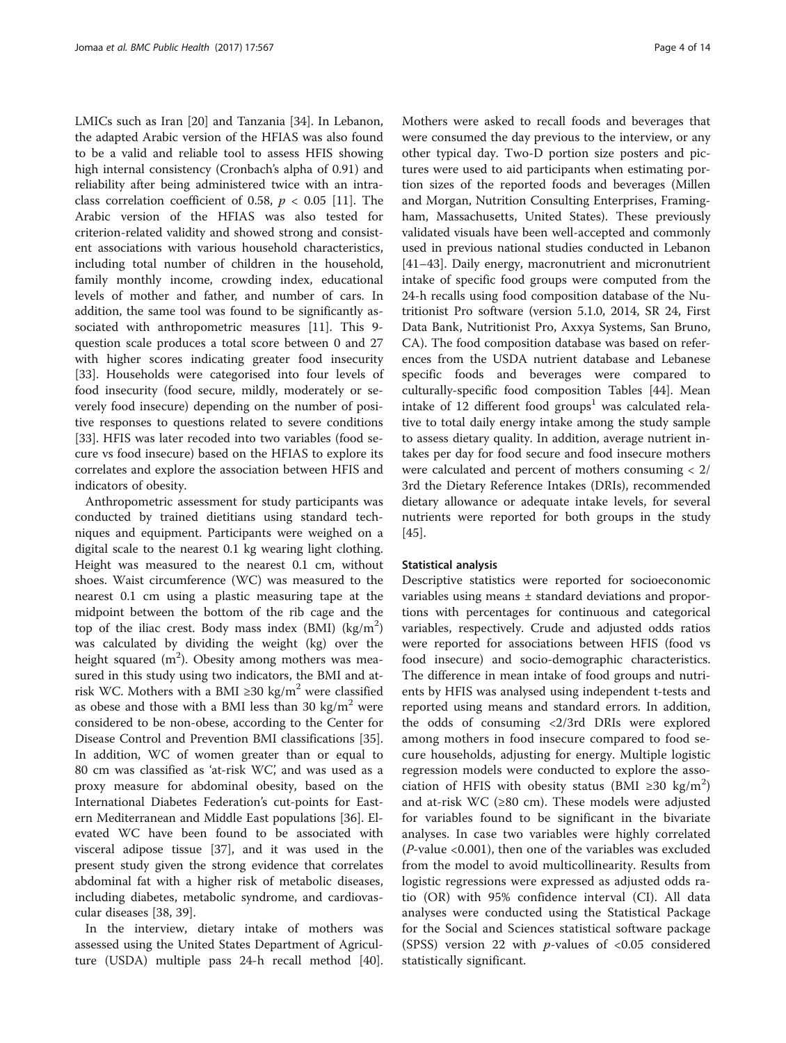LMICs such as Iran [\[20\]](#page-12-0) and Tanzania [[34](#page-12-0)]. In Lebanon, the adapted Arabic version of the HFIAS was also found to be a valid and reliable tool to assess HFIS showing high internal consistency (Cronbach's alpha of 0.91) and reliability after being administered twice with an intraclass correlation coefficient of 0.58,  $p < 0.05$  [11]. The Arabic version of the HFIAS was also tested for criterion-related validity and showed strong and consistent associations with various household characteristics, including total number of children in the household, family monthly income, crowding index, educational levels of mother and father, and number of cars. In addition, the same tool was found to be significantly associated with anthropometric measures [[11\]](#page-12-0). This 9 question scale produces a total score between 0 and 27 with higher scores indicating greater food insecurity [[33\]](#page-12-0). Households were categorised into four levels of food insecurity (food secure, mildly, moderately or severely food insecure) depending on the number of positive responses to questions related to severe conditions [[33\]](#page-12-0). HFIS was later recoded into two variables (food secure vs food insecure) based on the HFIAS to explore its correlates and explore the association between HFIS and indicators of obesity.

Anthropometric assessment for study participants was conducted by trained dietitians using standard techniques and equipment. Participants were weighed on a digital scale to the nearest 0.1 kg wearing light clothing. Height was measured to the nearest 0.1 cm, without shoes. Waist circumference (WC) was measured to the nearest 0.1 cm using a plastic measuring tape at the midpoint between the bottom of the rib cage and the top of the iliac crest. Body mass index (BMI)  $(kg/m<sup>2</sup>)$ was calculated by dividing the weight (kg) over the height squared  $(m^2)$ . Obesity among mothers was measured in this study using two indicators, the BMI and atrisk WC. Mothers with a BMI ≥30 kg/m<sup>2</sup> were classified as obese and those with a BMI less than 30 kg/ $m<sup>2</sup>$  were considered to be non-obese, according to the Center for Disease Control and Prevention BMI classifications [\[35](#page-12-0)]. In addition, WC of women greater than or equal to 80 cm was classified as 'at-risk WC', and was used as a proxy measure for abdominal obesity, based on the International Diabetes Federation's cut-points for Eastern Mediterranean and Middle East populations [[36\]](#page-12-0). Elevated WC have been found to be associated with visceral adipose tissue [[37](#page-12-0)], and it was used in the present study given the strong evidence that correlates abdominal fat with a higher risk of metabolic diseases, including diabetes, metabolic syndrome, and cardiovascular diseases [\[38](#page-12-0), [39](#page-12-0)].

In the interview, dietary intake of mothers was assessed using the United States Department of Agriculture (USDA) multiple pass 24-h recall method [\[40](#page-12-0)]. Mothers were asked to recall foods and beverages that were consumed the day previous to the interview, or any other typical day. Two-D portion size posters and pictures were used to aid participants when estimating portion sizes of the reported foods and beverages (Millen and Morgan, Nutrition Consulting Enterprises, Framingham, Massachusetts, United States). These previously validated visuals have been well-accepted and commonly used in previous national studies conducted in Lebanon [[41](#page-12-0)–[43](#page-12-0)]. Daily energy, macronutrient and micronutrient intake of specific food groups were computed from the 24-h recalls using food composition database of the Nutritionist Pro software (version 5.1.0, 2014, SR 24, First Data Bank, Nutritionist Pro, Axxya Systems, San Bruno, CA). The food composition database was based on references from the USDA nutrient database and Lebanese specific foods and beverages were compared to culturally-specific food composition Tables [\[44\]](#page-12-0). Mean intake of 12 different food groups<sup>1</sup> was calculated relative to total daily energy intake among the study sample to assess dietary quality. In addition, average nutrient intakes per day for food secure and food insecure mothers were calculated and percent of mothers consuming < 2/ 3rd the Dietary Reference Intakes (DRIs), recommended dietary allowance or adequate intake levels, for several nutrients were reported for both groups in the study [[45\]](#page-12-0).

#### Statistical analysis

Descriptive statistics were reported for socioeconomic variables using means ± standard deviations and proportions with percentages for continuous and categorical variables, respectively. Crude and adjusted odds ratios were reported for associations between HFIS (food vs food insecure) and socio-demographic characteristics. The difference in mean intake of food groups and nutrients by HFIS was analysed using independent t-tests and reported using means and standard errors. In addition, the odds of consuming <2/3rd DRIs were explored among mothers in food insecure compared to food secure households, adjusting for energy. Multiple logistic regression models were conducted to explore the association of HFIS with obesity status (BMI ≥30 kg/m<sup>2</sup>) and at-risk WC (≥80 cm). These models were adjusted for variables found to be significant in the bivariate analyses. In case two variables were highly correlated (P-value <0.001), then one of the variables was excluded from the model to avoid multicollinearity. Results from logistic regressions were expressed as adjusted odds ratio (OR) with 95% confidence interval (CI). All data analyses were conducted using the Statistical Package for the Social and Sciences statistical software package (SPSS) version 22 with *p*-values of  $< 0.05$  considered statistically significant.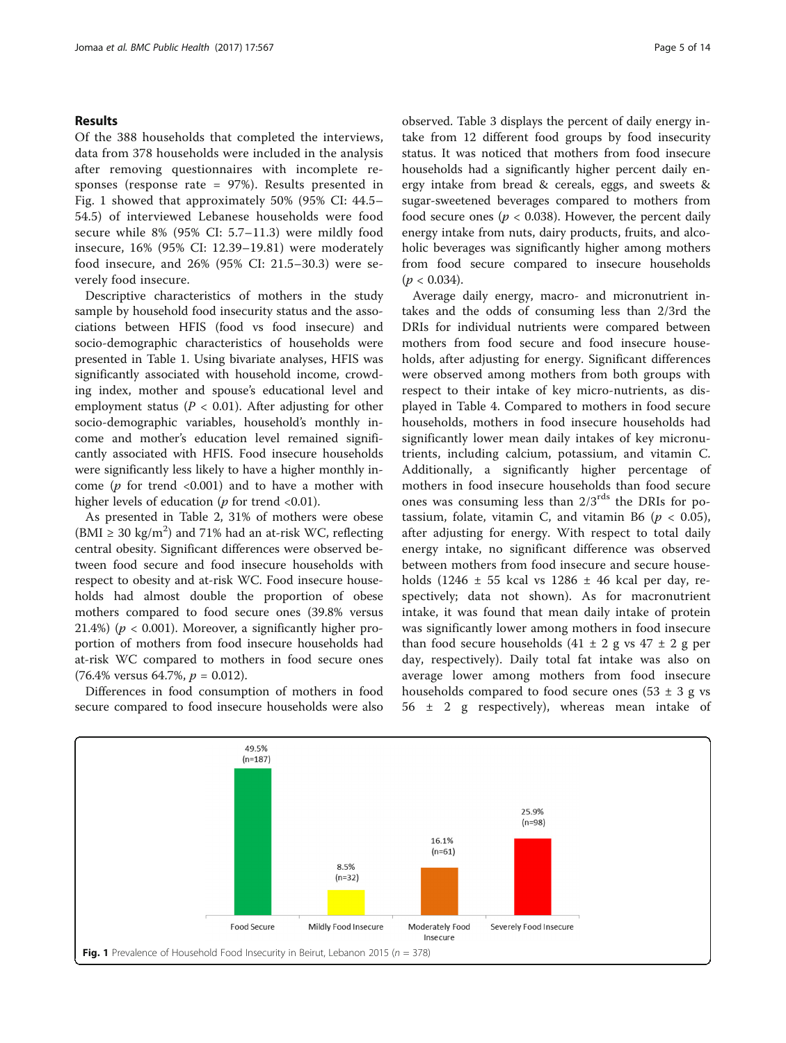# Results

Of the 388 households that completed the interviews, data from 378 households were included in the analysis after removing questionnaires with incomplete responses (response rate = 97%). Results presented in Fig. 1 showed that approximately 50% (95% CI: 44.5– 54.5) of interviewed Lebanese households were food secure while 8% (95% CI: 5.7–11.3) were mildly food insecure, 16% (95% CI: 12.39–19.81) were moderately food insecure, and 26% (95% CI: 21.5–30.3) were severely food insecure.

Descriptive characteristics of mothers in the study sample by household food insecurity status and the associations between HFIS (food vs food insecure) and socio-demographic characteristics of households were presented in Table [1.](#page-5-0) Using bivariate analyses, HFIS was significantly associated with household income, crowding index, mother and spouse's educational level and employment status ( $P < 0.01$ ). After adjusting for other socio-demographic variables, household's monthly income and mother's education level remained significantly associated with HFIS. Food insecure households were significantly less likely to have a higher monthly income ( $p$  for trend <0.001) and to have a mother with higher levels of education ( $p$  for trend <0.01).

As presented in Table [2,](#page-6-0) 31% of mothers were obese (BMI  $\geq$  30 kg/m<sup>2</sup>) and 71% had an at-risk WC, reflecting central obesity. Significant differences were observed between food secure and food insecure households with respect to obesity and at-risk WC. Food insecure households had almost double the proportion of obese mothers compared to food secure ones (39.8% versus 21.4%) ( $p < 0.001$ ). Moreover, a significantly higher proportion of mothers from food insecure households had at-risk WC compared to mothers in food secure ones  $(76.4\%$  versus 64.7%,  $p = 0.012$ ).

Differences in food consumption of mothers in food secure compared to food insecure households were also observed. Table [3](#page-6-0) displays the percent of daily energy intake from 12 different food groups by food insecurity status. It was noticed that mothers from food insecure households had a significantly higher percent daily energy intake from bread & cereals, eggs, and sweets & sugar-sweetened beverages compared to mothers from food secure ones ( $p < 0.038$ ). However, the percent daily energy intake from nuts, dairy products, fruits, and alcoholic beverages was significantly higher among mothers from food secure compared to insecure households  $(p < 0.034)$ .

Average daily energy, macro- and micronutrient intakes and the odds of consuming less than 2/3rd the DRIs for individual nutrients were compared between mothers from food secure and food insecure households, after adjusting for energy. Significant differences were observed among mothers from both groups with respect to their intake of key micro-nutrients, as displayed in Table [4.](#page-7-0) Compared to mothers in food secure households, mothers in food insecure households had significantly lower mean daily intakes of key micronutrients, including calcium, potassium, and vitamin C. Additionally, a significantly higher percentage of mothers in food insecure households than food secure ones was consuming less than  $2/3^{rds}$  the DRIs for potassium, folate, vitamin C, and vitamin B6 ( $p < 0.05$ ), after adjusting for energy. With respect to total daily energy intake, no significant difference was observed between mothers from food insecure and secure households  $(1246 \pm 55 \text{ kcal vs } 1286 \pm 46 \text{ kcal per day, re-}$ spectively; data not shown). As for macronutrient intake, it was found that mean daily intake of protein was significantly lower among mothers in food insecure than food secure households  $(41 \pm 2 \text{ g} \text{ vs } 47 \pm 2 \text{ g} \text{ per})$ day, respectively). Daily total fat intake was also on average lower among mothers from food insecure households compared to food secure ones  $(53 \pm 3)$  g vs  $56 \pm 2$  g respectively), whereas mean intake of

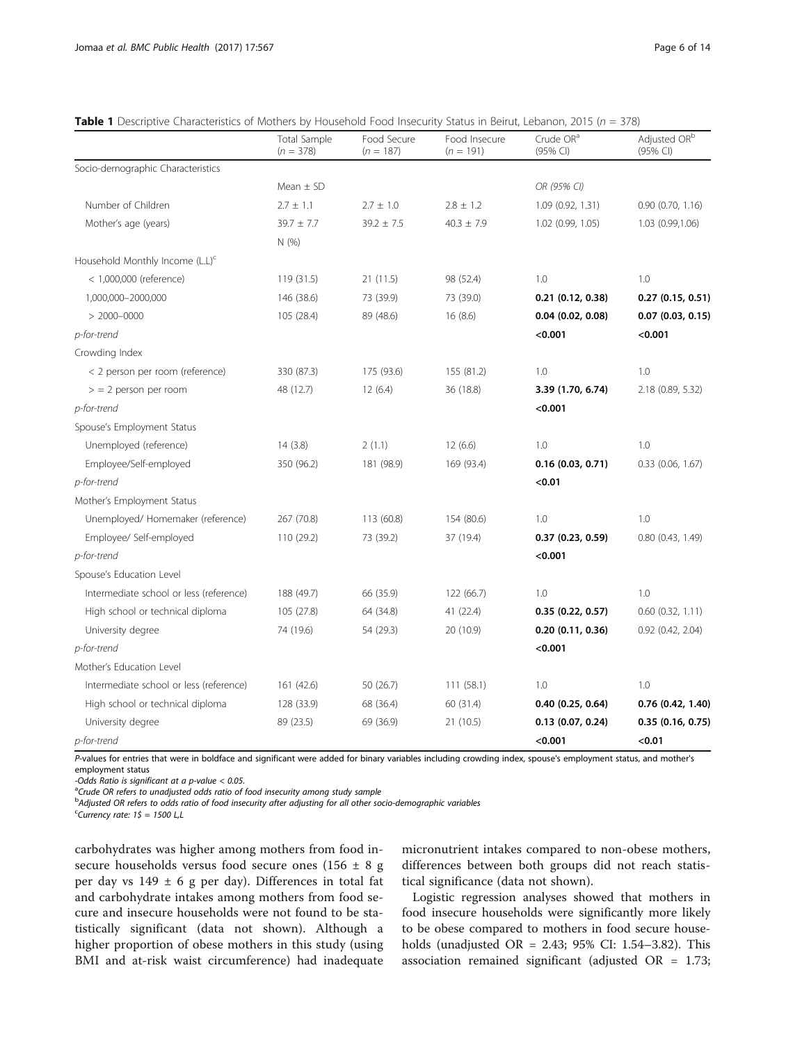<span id="page-5-0"></span>

|  |  |  |  |  |  | <b>Table 1</b> Descriptive Characteristics of Mothers by Household Food Insecurity Status in Beirut, Lebanon, 2015 ( $n = 378$ ) |
|--|--|--|--|--|--|----------------------------------------------------------------------------------------------------------------------------------|
|--|--|--|--|--|--|----------------------------------------------------------------------------------------------------------------------------------|

|                                             | <b>Total Sample</b><br>$(n = 378)$ | Food Secure<br>$(n = 187)$ | Food Insecure<br>$(n = 191)$ | Crude OR <sup>a</sup><br>(95% CI) | Adjusted OR <sup>b</sup><br>(95% CI) |
|---------------------------------------------|------------------------------------|----------------------------|------------------------------|-----------------------------------|--------------------------------------|
| Socio-demographic Characteristics           |                                    |                            |                              |                                   |                                      |
|                                             | Mean $\pm$ SD                      |                            |                              | OR (95% CI)                       |                                      |
| Number of Children                          | $2.7 \pm 1.1$                      | $2.7 \pm 1.0$              | $2.8 \pm 1.2$                | 1.09 (0.92, 1.31)                 | 0.90 (0.70, 1.16)                    |
| Mother's age (years)                        | $39.7 \pm 7.7$                     | $39.2 \pm 7.5$             | $40.3 \pm 7.9$               | 1.02 (0.99, 1.05)                 | 1.03 (0.99,1.06)                     |
|                                             | N(%)                               |                            |                              |                                   |                                      |
| Household Monthly Income (L.L) <sup>c</sup> |                                    |                            |                              |                                   |                                      |
| < 1,000,000 (reference)                     | 119 (31.5)                         | 21 (11.5)                  | 98 (52.4)                    | 1.0                               | 1.0                                  |
| 1,000,000-2000,000                          | 146 (38.6)                         | 73 (39.9)                  | 73 (39.0)                    | $0.21$ $(0.12, 0.38)$             | 0.27(0.15, 0.51)                     |
| $> 2000 - 0000$                             | 105 (28.4)                         | 89 (48.6)                  | 16(8.6)                      | $0.04$ $(0.02, 0.08)$             | $0.07$ $(0.03, 0.15)$                |
| p-for-trend                                 |                                    |                            |                              | < 0.001                           | < 0.001                              |
| Crowding Index                              |                                    |                            |                              |                                   |                                      |
| < 2 person per room (reference)             | 330 (87.3)                         | 175 (93.6)                 | 155 (81.2)                   | 1.0                               | 1.0                                  |
| $>$ = 2 person per room                     | 48 (12.7)                          | 12(6.4)                    | 36 (18.8)                    | 3.39 (1.70, 6.74)                 | 2.18 (0.89, 5.32)                    |
| p-for-trend                                 |                                    |                            |                              | < 0.001                           |                                      |
| Spouse's Employment Status                  |                                    |                            |                              |                                   |                                      |
| Unemployed (reference)                      | 14(3.8)                            | 2(1.1)                     | 12(6.6)                      | 1.0                               | 1.0                                  |
| Employee/Self-employed                      | 350 (96.2)                         | 181 (98.9)                 | 169 (93.4)                   | 0.16(0.03, 0.71)                  | $0.33$ (0.06, 1.67)                  |
| p-for-trend                                 |                                    |                            |                              | < 0.01                            |                                      |
| Mother's Employment Status                  |                                    |                            |                              |                                   |                                      |
| Unemployed/ Homemaker (reference)           | 267 (70.8)                         | 113 (60.8)                 | 154 (80.6)                   | 1.0                               | 1.0                                  |
| Employee/ Self-employed                     | 110 (29.2)                         | 73 (39.2)                  | 37 (19.4)                    | 0.37(0.23, 0.59)                  | 0.80 (0.43, 1.49)                    |
| p-for-trend                                 |                                    |                            |                              | < 0.001                           |                                      |
| Spouse's Education Level                    |                                    |                            |                              |                                   |                                      |
| Intermediate school or less (reference)     | 188 (49.7)                         | 66 (35.9)                  | 122 (66.7)                   | 1.0                               | 1.0                                  |
| High school or technical diploma            | 105 (27.8)                         | 64 (34.8)                  | 41 (22.4)                    | 0.35(0.22, 0.57)                  | $0.60$ $(0.32, 1.11)$                |
| University degree                           | 74 (19.6)                          | 54 (29.3)                  | 20 (10.9)                    | 0.20(0.11, 0.36)                  | 0.92(0.42, 2.04)                     |
| p-for-trend                                 |                                    |                            |                              | < 0.001                           |                                      |
| Mother's Education Level                    |                                    |                            |                              |                                   |                                      |
| Intermediate school or less (reference)     | 161 (42.6)                         | 50 (26.7)                  | 111 (58.1)                   | 1.0                               | 1.0                                  |
| High school or technical diploma            | 128 (33.9)                         | 68 (36.4)                  | 60 (31.4)                    | 0.40 (0.25, 0.64)                 | $0.76$ $(0.42, 1.40)$                |
| University degree                           | 89 (23.5)                          | 69 (36.9)                  | 21 (10.5)                    | $0.13$ (0.07, 0.24)               | 0.35(0.16, 0.75)                     |
| p-for-trend                                 |                                    |                            |                              | < 0.001                           | < 0.01                               |

P-values for entries that were in boldface and significant were added for binary variables including crowding index, spouse's employment status, and mother's employment status

-Odds Ratio is significant at a p-value < 0.05.

<sup>a</sup>Crude OR refers to unadjusted odds ratio of food insecurity among study sample

**b** Adjusted OR refers to odds ratio of food insecurity after adjusting for all other socio-demographic variables

 $c$ Currency rate:  $1\frac{1}{5} = 1500$  L,L

carbohydrates was higher among mothers from food insecure households versus food secure ones (156 ± 8 g per day vs  $149 \pm 6$  g per day). Differences in total fat and carbohydrate intakes among mothers from food secure and insecure households were not found to be statistically significant (data not shown). Although a higher proportion of obese mothers in this study (using BMI and at-risk waist circumference) had inadequate micronutrient intakes compared to non-obese mothers, differences between both groups did not reach statistical significance (data not shown).

Logistic regression analyses showed that mothers in food insecure households were significantly more likely to be obese compared to mothers in food secure households (unadjusted OR = 2.43; 95% CI: 1.54–3.82). This association remained significant (adjusted OR = 1.73;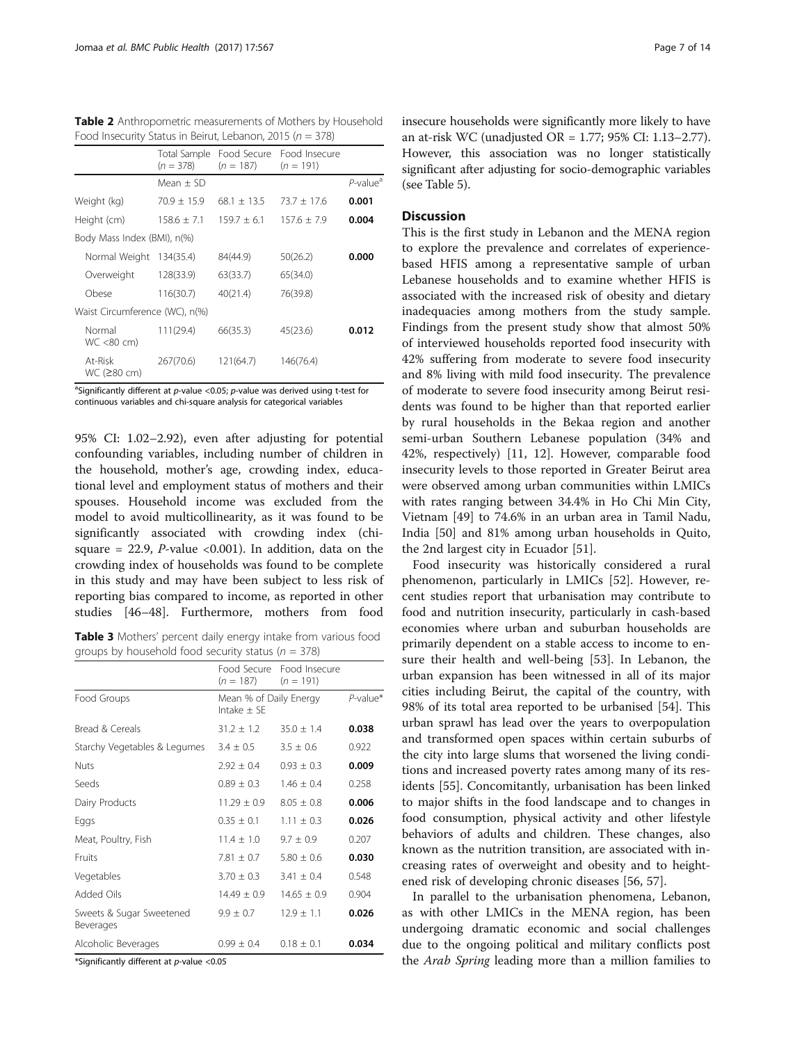<span id="page-6-0"></span>Table 2 Anthropometric measurements of Mothers by Household Food Insecurity Status in Beirut, Lebanon, 2015 ( $n = 378$ )

|                                |                                 | Total Sample<br>$(n = 378)$ | Food Secure<br>$(n = 187)$ | Food Insecure<br>$(n = 191)$ |                      |
|--------------------------------|---------------------------------|-----------------------------|----------------------------|------------------------------|----------------------|
|                                |                                 | Mean $+$ SD                 |                            |                              | P-value <sup>a</sup> |
|                                | Weight (kg)                     | $70.9 + 15.9$               | $68.1 + 13.5$              | $73.7 + 17.6$                | 0.001                |
|                                | Height (cm)                     | $158.6 \pm 7.1$             | $159.7 + 6.1$              | $157.6 + 7.9$                | 0.004                |
|                                | Body Mass Index (BMI), n(%)     |                             |                            |                              |                      |
|                                | Normal Weight                   | 134(35.4)                   | 84(44.9)                   | 50(26.2)                     | 0.000                |
|                                | Overweight                      | 128(33.9)                   | 63(33.7)                   | 65(34.0)                     |                      |
|                                | Obese                           | 116(30.7)                   | 40(21.4)                   | 76(39.8)                     |                      |
| Waist Circumference (WC), n(%) |                                 |                             |                            |                              |                      |
|                                | Normal<br>WC <80 cm)            | 111(29.4)                   | 66(35.3)                   | 45(23.6)                     | 0.012                |
|                                | At-Risk<br>$WC$ ( $\geq$ 80 cm) | 267(70.6)                   | 121(64.7)                  | 146(76.4)                    |                      |

<sup>a</sup>Significantly different at p-value <0.05; p-value was derived using t-test for continuous variables and chi-square analysis for categorical variables

95% CI: 1.02–2.92), even after adjusting for potential confounding variables, including number of children in the household, mother's age, crowding index, educational level and employment status of mothers and their spouses. Household income was excluded from the model to avoid multicollinearity, as it was found to be significantly associated with crowding index (chisquare = 22.9, *P*-value < 0.001). In addition, data on the crowding index of households was found to be complete in this study and may have been subject to less risk of reporting bias compared to income, as reported in other studies [\[46](#page-12-0)–[48\]](#page-12-0). Furthermore, mothers from food

Table 3 Mothers' percent daily energy intake from various food groups by household food security status ( $n = 378$ )

|                                       | $(n = 187)$                             | Food Secure Food Insecure<br>$(n = 191)$ |             |
|---------------------------------------|-----------------------------------------|------------------------------------------|-------------|
| Food Groups                           | Mean % of Daily Energy<br>Intake $+$ SF |                                          | $P$ -value* |
| Bread & Cereals                       | $31.2 \pm 1.2$                          | $35.0 \pm 1.4$                           | 0.038       |
| Starchy Vegetables & Legumes          | $3.4 \pm 0.5$                           | $3.5 \pm 0.6$                            | 0.922       |
| <b>Nuts</b>                           | $2.92 \pm 0.4$                          | $0.93 \pm 0.3$                           | 0.009       |
| Seeds                                 | $0.89 \pm 0.3$                          | $1.46 + 0.4$                             | 0.258       |
| Dairy Products                        | $11.29 + 0.9$                           | $8.05 \pm 0.8$                           | 0.006       |
| Eggs                                  | $0.35 \pm 0.1$                          | $1.11 \pm 0.3$                           | 0.026       |
| Meat, Poultry, Fish                   | $11.4 \pm 1.0$                          | $9.7 \pm 0.9$                            | 0.207       |
| <b>Fruits</b>                         | $7.81 \pm 0.7$                          | $5.80 \pm 0.6$                           | 0.030       |
| Vegetables                            | $3.70 \pm 0.3$                          | $3.41 \pm 0.4$                           | 0.548       |
| added Oils                            | $14.49 \pm 0.9$                         | $14.65 \pm 0.9$                          | 0.904       |
| Sweets & Sugar Sweetened<br>Beverages | $9.9 \pm 0.7$                           | $12.9 + 1.1$                             | 0.026       |
| Alcoholic Beverages                   | $0.99 + 0.4$                            | $0.18 + 0.1$                             | 0.034       |

\*Significantly different at p-value <0.05

insecure households were significantly more likely to have an at-risk WC (unadjusted OR = 1.77; 95% CI: 1.13–2.77). However, this association was no longer statistically significant after adjusting for socio-demographic variables (see Table [5](#page-8-0)).

# **Discussion**

This is the first study in Lebanon and the MENA region to explore the prevalence and correlates of experiencebased HFIS among a representative sample of urban Lebanese households and to examine whether HFIS is associated with the increased risk of obesity and dietary inadequacies among mothers from the study sample. Findings from the present study show that almost 50% of interviewed households reported food insecurity with 42% suffering from moderate to severe food insecurity and 8% living with mild food insecurity. The prevalence of moderate to severe food insecurity among Beirut residents was found to be higher than that reported earlier by rural households in the Bekaa region and another semi-urban Southern Lebanese population (34% and 42%, respectively) [\[11](#page-12-0), [12](#page-12-0)]. However, comparable food insecurity levels to those reported in Greater Beirut area were observed among urban communities within LMICs with rates ranging between 34.4% in Ho Chi Min City, Vietnam [\[49](#page-13-0)] to 74.6% in an urban area in Tamil Nadu, India [[50\]](#page-13-0) and 81% among urban households in Quito, the 2nd largest city in Ecuador [[51\]](#page-13-0).

Food insecurity was historically considered a rural phenomenon, particularly in LMICs [[52\]](#page-13-0). However, recent studies report that urbanisation may contribute to food and nutrition insecurity, particularly in cash-based economies where urban and suburban households are primarily dependent on a stable access to income to ensure their health and well-being [\[53\]](#page-13-0). In Lebanon, the urban expansion has been witnessed in all of its major cities including Beirut, the capital of the country, with 98% of its total area reported to be urbanised [[54\]](#page-13-0). This urban sprawl has lead over the years to overpopulation and transformed open spaces within certain suburbs of the city into large slums that worsened the living conditions and increased poverty rates among many of its residents [[55\]](#page-13-0). Concomitantly, urbanisation has been linked to major shifts in the food landscape and to changes in food consumption, physical activity and other lifestyle behaviors of adults and children. These changes, also known as the nutrition transition, are associated with increasing rates of overweight and obesity and to heightened risk of developing chronic diseases [\[56](#page-13-0), [57](#page-13-0)].

In parallel to the urbanisation phenomena, Lebanon, as with other LMICs in the MENA region, has been undergoing dramatic economic and social challenges due to the ongoing political and military conflicts post the Arab Spring leading more than a million families to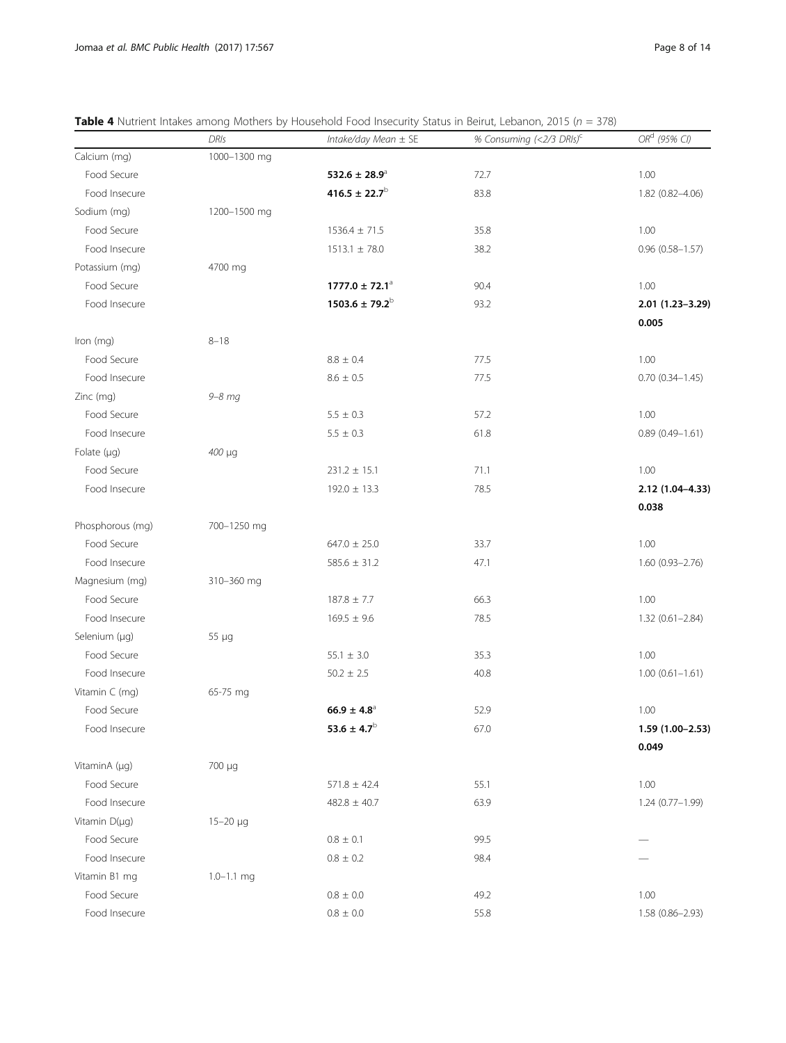|                  | DRIs            | Intake/day Mean $\pm$ SE    | <b>T</b> matrich makes among motifiers by nouserfold rood insecurity status in behalf ecoarion, zons $(n-$<br>% Consuming (<2/3 DRIs) <sup>c</sup> | OR <sup>d</sup> (95% CI) |
|------------------|-----------------|-----------------------------|----------------------------------------------------------------------------------------------------------------------------------------------------|--------------------------|
| Calcium (mg)     | 1000-1300 mg    |                             |                                                                                                                                                    |                          |
| Food Secure      |                 | $532.6 \pm 28.9^{\circ}$    | 72.7                                                                                                                                               | 1.00                     |
| Food Insecure    |                 | 416.5 ± 22.7 <sup>b</sup>   | 83.8                                                                                                                                               | 1.82 (0.82-4.06)         |
| Sodium (mg)      | 1200-1500 mg    |                             |                                                                                                                                                    |                          |
| Food Secure      |                 | $1536.4 \pm 71.5$           | 35.8                                                                                                                                               | 1.00                     |
| Food Insecure    |                 | $1513.1 \pm 78.0$           | 38.2                                                                                                                                               | $0.96$ $(0.58 - 1.57)$   |
| Potassium (mg)   | 4700 mg         |                             |                                                                                                                                                    |                          |
| Food Secure      |                 | $1777.0 \pm 72.1^{\circ}$   | 90.4                                                                                                                                               | 1.00                     |
| Food Insecure    |                 | $1503.6 \pm 79.2^b$         | 93.2                                                                                                                                               | 2.01 (1.23-3.29)         |
|                  |                 |                             |                                                                                                                                                    | 0.005                    |
| Iron (mg)        | $8 - 18$        |                             |                                                                                                                                                    |                          |
| Food Secure      |                 | $8.8 \pm 0.4$               | 77.5                                                                                                                                               | 1.00                     |
| Food Insecure    |                 | $8.6 \pm 0.5$               | 77.5                                                                                                                                               | $0.70(0.34 - 1.45)$      |
| Zinc (mg)        | $9 - 8$ mg      |                             |                                                                                                                                                    |                          |
| Food Secure      |                 | $5.5 \pm 0.3$               | 57.2                                                                                                                                               | 1.00                     |
| Food Insecure    |                 | $5.5 \pm 0.3$               | 61.8                                                                                                                                               | $0.89(0.49 - 1.61)$      |
| Folate $(\mu g)$ | 400 µg          |                             |                                                                                                                                                    |                          |
| Food Secure      |                 | $231.2 \pm 15.1$            | 71.1                                                                                                                                               | 1.00                     |
| Food Insecure    |                 | $192.0 \pm 13.3$            | 78.5                                                                                                                                               | 2.12 (1.04-4.33)         |
|                  |                 |                             |                                                                                                                                                    | 0.038                    |
| Phosphorous (mg) | 700-1250 mg     |                             |                                                                                                                                                    |                          |
| Food Secure      |                 | $647.0 \pm 25.0$            | 33.7                                                                                                                                               | 1.00                     |
| Food Insecure    |                 | $585.6 \pm 31.2$            | 47.1                                                                                                                                               | 1.60 (0.93-2.76)         |
| Magnesium (mg)   | 310-360 mg      |                             |                                                                                                                                                    |                          |
| Food Secure      |                 | $187.8 \pm 7.7$             | 66.3                                                                                                                                               | 1.00                     |
| Food Insecure    |                 | $169.5 \pm 9.6$             | 78.5                                                                                                                                               | $1.32(0.61 - 2.84)$      |
| Selenium (µg)    | 55 µg           |                             |                                                                                                                                                    |                          |
| Food Secure      |                 | 55.1 $\pm$ 3.0              | 35.3                                                                                                                                               | 1.00                     |
| Food Insecure    |                 | $50.2 \pm 2.5$              | 40.8                                                                                                                                               | $1.00(0.61 - 1.61)$      |
| Vitamin C (mg)   | 65-75 mg        |                             |                                                                                                                                                    |                          |
| Food Secure      |                 | $66.9 \pm 4.8$ <sup>a</sup> | 52.9                                                                                                                                               | 1.00                     |
| Food Insecure    |                 | 53.6 $\pm$ 4.7 <sup>b</sup> | 67.0                                                                                                                                               | 1.59 (1.00-2.53)         |
|                  |                 |                             |                                                                                                                                                    | 0.049                    |
| VitaminA (µg)    | 700 µg          |                             |                                                                                                                                                    |                          |
| Food Secure      |                 | $571.8 \pm 42.4$            | 55.1                                                                                                                                               | 1.00                     |
| Food Insecure    |                 | $482.8 \pm 40.7$            | 63.9                                                                                                                                               | 1.24 (0.77-1.99)         |
| Vitamin D(µg)    | $15 - 20 \mu$ g |                             |                                                                                                                                                    |                          |
| Food Secure      |                 | $0.8 \pm 0.1$               | 99.5                                                                                                                                               |                          |
| Food Insecure    |                 | $0.8 \pm 0.2$               | 98.4                                                                                                                                               |                          |
| Vitamin B1 mg    | $1.0 - 1.1$ mg  |                             |                                                                                                                                                    |                          |
| Food Secure      |                 | $0.8 \pm 0.0$               | 49.2                                                                                                                                               | 1.00                     |
| Food Insecure    |                 | $0.8\,\pm\,0.0$             | 55.8                                                                                                                                               | $1.58(0.86 - 2.93)$      |

<span id="page-7-0"></span>**Table 4** Nutrient Intakes among Mothers by Household Food Insecurity Status in Beirut, Lebanon, 2015 ( $n = 378$ )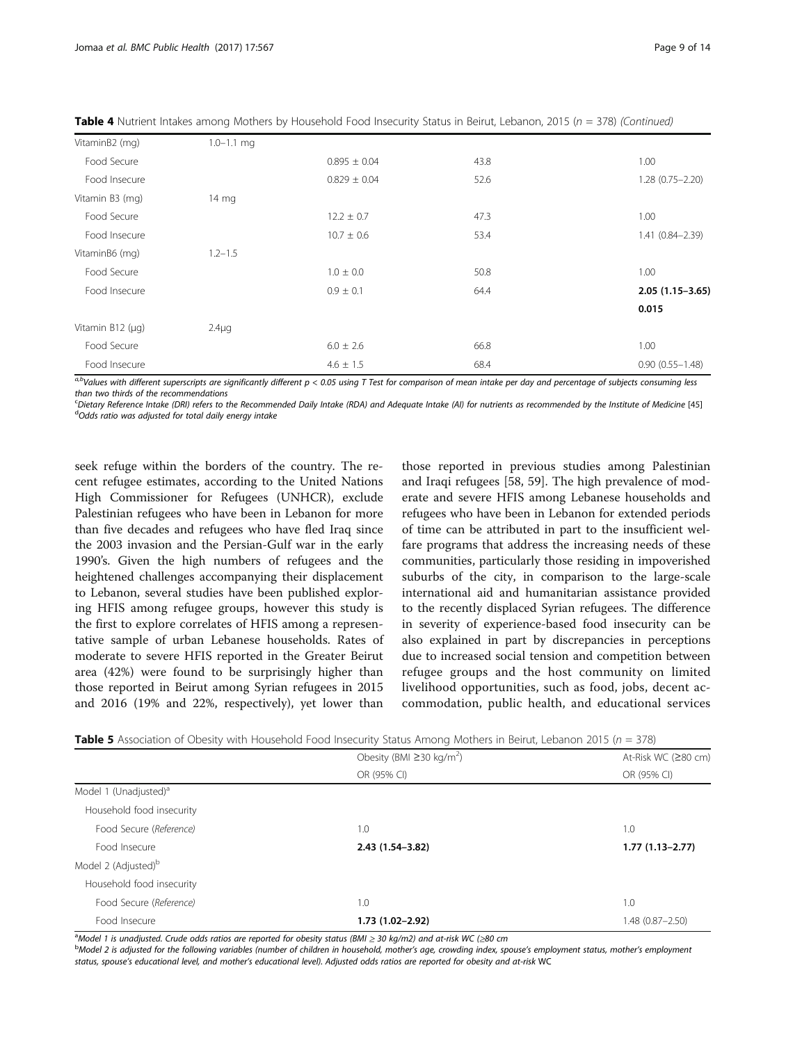| VitaminB2 (mg)           | $1.0 - 1.1$ mg  |                  |      |                     |
|--------------------------|-----------------|------------------|------|---------------------|
| Food Secure              |                 | $0.895 \pm 0.04$ | 43.8 | 1.00                |
| Food Insecure            |                 | $0.829 \pm 0.04$ | 52.6 | $1.28(0.75 - 2.20)$ |
| Vitamin B3 (mg)          | $14 \text{ mg}$ |                  |      |                     |
| Food Secure              |                 | $12.2 \pm 0.7$   | 47.3 | 1.00                |
| Food Insecure            |                 | $10.7 \pm 0.6$   | 53.4 | $1.41(0.84 - 2.39)$ |
| VitaminB6 (mg)           | $1.2 - 1.5$     |                  |      |                     |
| Food Secure              |                 | $1.0 \pm 0.0$    | 50.8 | 1.00                |
| Food Insecure            |                 | $0.9 \pm 0.1$    | 64.4 | $2.05(1.15-3.65)$   |
|                          |                 |                  |      | 0.015               |
| Vitamin $B12$ ( $\mu$ g) | $2.4\mu$ g      |                  |      |                     |
| Food Secure              |                 | $6.0 \pm 2.6$    | 66.8 | 1.00                |
| Food Insecure            |                 | $4.6 \pm 1.5$    | 68.4 | $0.90(0.55 - 1.48)$ |
| and the contract of      |                 |                  |      |                     |

<span id="page-8-0"></span>Table 4 Nutrient Intakes among Mothers by Household Food Insecurity Status in Beirut, Lebanon, 2015 ( $n = 378$ ) (Continued)

 $a$ ,bValues with different superscripts are significantly different p < 0.05 using T Test for comparison of mean intake per day and percentage of subjects consuming less than two thirds of the recommendations

<sup>c</sup>Dietary Reference Intake (DRI) refers to the Recommended Daily Intake (RDA) and Adequate Intake (AI) for nutrients as recommended by the Institute of Medicine [\[45\]](#page-12-0) فالمستحدث المواد المعاملة والمستحدث المواد المعاملة الم <sup>d</sup>Odds ratio was adjusted for total daily energy intake

seek refuge within the borders of the country. The recent refugee estimates, according to the United Nations High Commissioner for Refugees (UNHCR), exclude Palestinian refugees who have been in Lebanon for more than five decades and refugees who have fled Iraq since the 2003 invasion and the Persian-Gulf war in the early 1990's. Given the high numbers of refugees and the heightened challenges accompanying their displacement to Lebanon, several studies have been published exploring HFIS among refugee groups, however this study is the first to explore correlates of HFIS among a representative sample of urban Lebanese households. Rates of moderate to severe HFIS reported in the Greater Beirut area (42%) were found to be surprisingly higher than those reported in Beirut among Syrian refugees in 2015 and 2016 (19% and 22%, respectively), yet lower than

those reported in previous studies among Palestinian and Iraqi refugees [\[58, 59\]](#page-13-0). The high prevalence of moderate and severe HFIS among Lebanese households and refugees who have been in Lebanon for extended periods of time can be attributed in part to the insufficient welfare programs that address the increasing needs of these communities, particularly those residing in impoverished suburbs of the city, in comparison to the large-scale international aid and humanitarian assistance provided to the recently displaced Syrian refugees. The difference in severity of experience-based food insecurity can be also explained in part by discrepancies in perceptions due to increased social tension and competition between refugee groups and the host community on limited livelihood opportunities, such as food, jobs, decent accommodation, public health, and educational services

|  | Table 5 Association of Obesity with Household Food Insecurity Status Among Mothers in Beirut, Lebanon 2015 (n = 378) |  |
|--|----------------------------------------------------------------------------------------------------------------------|--|
|  |                                                                                                                      |  |

|                                   | Obesity (BMI $\geq$ 30 kg/m <sup>2</sup> ) | At-Risk WC (≥80 cm) |  |
|-----------------------------------|--------------------------------------------|---------------------|--|
|                                   | OR (95% CI)                                | OR (95% CI)         |  |
| Model 1 (Unadjusted) <sup>a</sup> |                                            |                     |  |
| Household food insecurity         |                                            |                     |  |
| Food Secure (Reference)           | 1.0                                        | 1.0                 |  |
| Food Insecure                     | $2.43(1.54 - 3.82)$                        | $1.77(1.13 - 2.77)$ |  |
| Model 2 (Adjusted) <sup>b</sup>   |                                            |                     |  |
| Household food insecurity         |                                            |                     |  |
| Food Secure (Reference)           | 1.0                                        | 1.0                 |  |
| Food Insecure                     | 1.73 (1.02-2.92)                           | $1.48(0.87 - 2.50)$ |  |

<sup>a</sup>Model 1 is unadjusted. Crude odds ratios are reported for obesity status (BMI ≥ 30 kg/m2) and at-risk WC (≥80 cm<br><sup>b</sup>Model 2 is adjusted for the following variables (pumber of children in bousebold, methor's age, crowdi

<sup>b</sup>Model 2 is adjusted for the following variables (number of children in household, mother's age, crowding index, spouse's employment status, mother's employment status, spouse's educational level, and mother's educational level). Adjusted odds ratios are reported for obesity and at-risk WC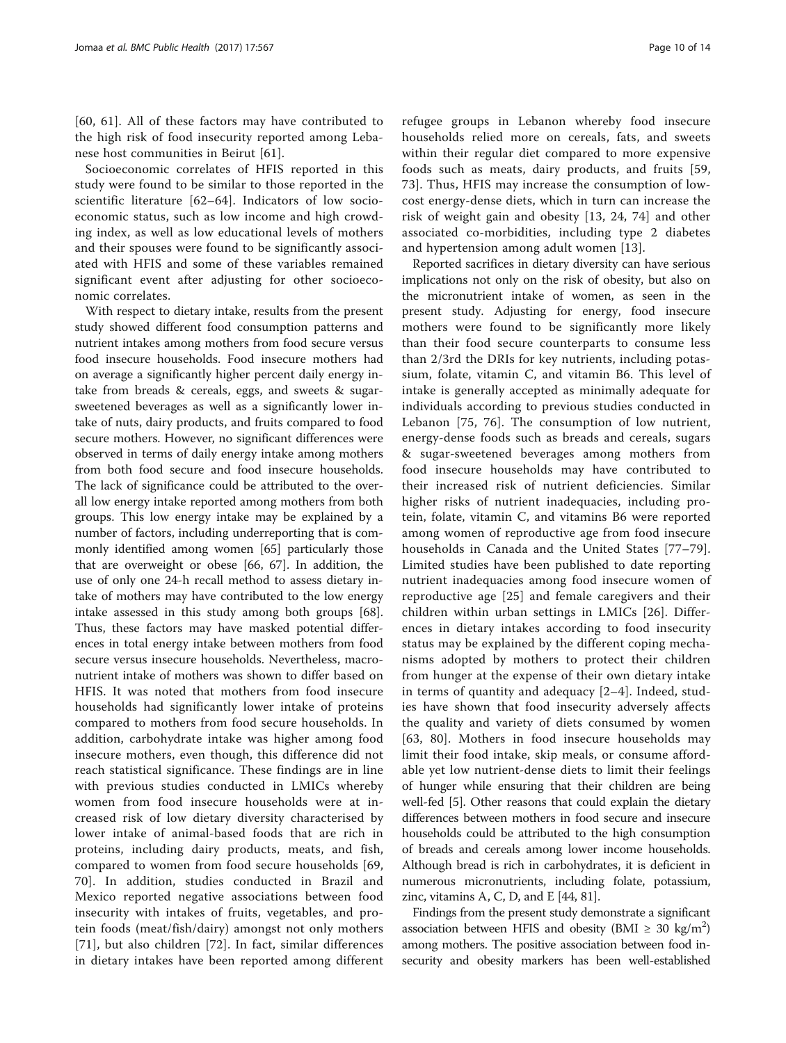[[60](#page-13-0), [61\]](#page-13-0). All of these factors may have contributed to the high risk of food insecurity reported among Lebanese host communities in Beirut [[61](#page-13-0)].

Socioeconomic correlates of HFIS reported in this study were found to be similar to those reported in the scientific literature [[62](#page-13-0)–[64](#page-13-0)]. Indicators of low socioeconomic status, such as low income and high crowding index, as well as low educational levels of mothers and their spouses were found to be significantly associated with HFIS and some of these variables remained significant event after adjusting for other socioeconomic correlates.

With respect to dietary intake, results from the present study showed different food consumption patterns and nutrient intakes among mothers from food secure versus food insecure households. Food insecure mothers had on average a significantly higher percent daily energy intake from breads & cereals, eggs, and sweets & sugarsweetened beverages as well as a significantly lower intake of nuts, dairy products, and fruits compared to food secure mothers. However, no significant differences were observed in terms of daily energy intake among mothers from both food secure and food insecure households. The lack of significance could be attributed to the overall low energy intake reported among mothers from both groups. This low energy intake may be explained by a number of factors, including underreporting that is commonly identified among women [\[65\]](#page-13-0) particularly those that are overweight or obese [[66, 67](#page-13-0)]. In addition, the use of only one 24-h recall method to assess dietary intake of mothers may have contributed to the low energy intake assessed in this study among both groups [\[68](#page-13-0)]. Thus, these factors may have masked potential differences in total energy intake between mothers from food secure versus insecure households. Nevertheless, macronutrient intake of mothers was shown to differ based on HFIS. It was noted that mothers from food insecure households had significantly lower intake of proteins compared to mothers from food secure households. In addition, carbohydrate intake was higher among food insecure mothers, even though, this difference did not reach statistical significance. These findings are in line with previous studies conducted in LMICs whereby women from food insecure households were at increased risk of low dietary diversity characterised by lower intake of animal-based foods that are rich in proteins, including dairy products, meats, and fish, compared to women from food secure households [\[69](#page-13-0), [70\]](#page-13-0). In addition, studies conducted in Brazil and Mexico reported negative associations between food insecurity with intakes of fruits, vegetables, and protein foods (meat/fish/dairy) amongst not only mothers [[71](#page-13-0)], but also children [[72](#page-13-0)]. In fact, similar differences in dietary intakes have been reported among different

refugee groups in Lebanon whereby food insecure households relied more on cereals, fats, and sweets within their regular diet compared to more expensive foods such as meats, dairy products, and fruits [\[59](#page-13-0), [73\]](#page-13-0). Thus, HFIS may increase the consumption of lowcost energy-dense diets, which in turn can increase the risk of weight gain and obesity [[13, 24,](#page-12-0) [74](#page-13-0)] and other associated co-morbidities, including type 2 diabetes and hypertension among adult women [[13\]](#page-12-0).

Reported sacrifices in dietary diversity can have serious implications not only on the risk of obesity, but also on the micronutrient intake of women, as seen in the present study. Adjusting for energy, food insecure mothers were found to be significantly more likely than their food secure counterparts to consume less than 2/3rd the DRIs for key nutrients, including potassium, folate, vitamin C, and vitamin B6. This level of intake is generally accepted as minimally adequate for individuals according to previous studies conducted in Lebanon [\[75](#page-13-0), [76\]](#page-13-0). The consumption of low nutrient, energy-dense foods such as breads and cereals, sugars & sugar-sweetened beverages among mothers from food insecure households may have contributed to their increased risk of nutrient deficiencies. Similar higher risks of nutrient inadequacies, including protein, folate, vitamin C, and vitamins B6 were reported among women of reproductive age from food insecure households in Canada and the United States [[77](#page-13-0)–[79](#page-13-0)]. Limited studies have been published to date reporting nutrient inadequacies among food insecure women of reproductive age [[25\]](#page-12-0) and female caregivers and their children within urban settings in LMICs [[26\]](#page-12-0). Differences in dietary intakes according to food insecurity status may be explained by the different coping mechanisms adopted by mothers to protect their children from hunger at the expense of their own dietary intake in terms of quantity and adequacy [\[2](#page-12-0)–[4\]](#page-12-0). Indeed, studies have shown that food insecurity adversely affects the quality and variety of diets consumed by women [[63](#page-13-0), [80](#page-13-0)]. Mothers in food insecure households may limit their food intake, skip meals, or consume affordable yet low nutrient-dense diets to limit their feelings of hunger while ensuring that their children are being well-fed [\[5](#page-12-0)]. Other reasons that could explain the dietary differences between mothers in food secure and insecure households could be attributed to the high consumption of breads and cereals among lower income households. Although bread is rich in carbohydrates, it is deficient in numerous micronutrients, including folate, potassium, zinc, vitamins A, C, D, and E  $[44, 81]$  $[44, 81]$  $[44, 81]$  $[44, 81]$ .

Findings from the present study demonstrate a significant association between HFIS and obesity (BMI  $\geq 30 \text{ kg/m}^2$ ) among mothers. The positive association between food insecurity and obesity markers has been well-established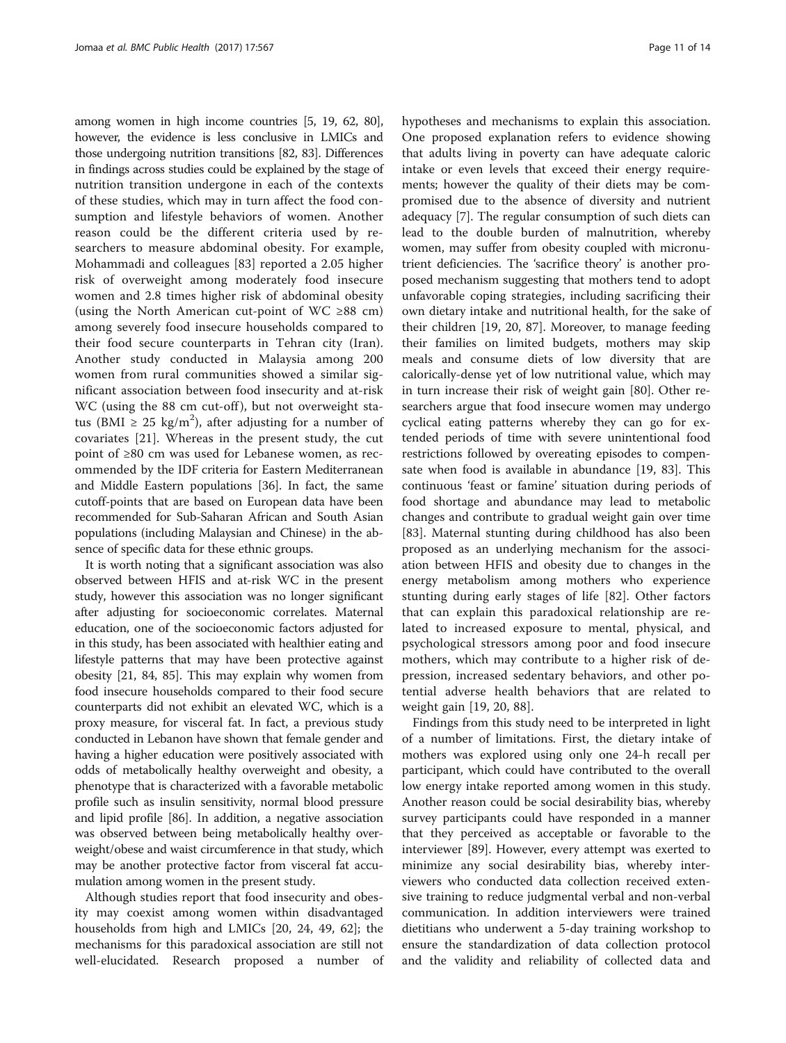among women in high income countries [\[5, 19,](#page-12-0) [62](#page-13-0), [80](#page-13-0)], however, the evidence is less conclusive in LMICs and those undergoing nutrition transitions [\[82, 83](#page-13-0)]. Differences in findings across studies could be explained by the stage of nutrition transition undergone in each of the contexts of these studies, which may in turn affect the food consumption and lifestyle behaviors of women. Another reason could be the different criteria used by researchers to measure abdominal obesity. For example, Mohammadi and colleagues [[83\]](#page-13-0) reported a 2.05 higher risk of overweight among moderately food insecure women and 2.8 times higher risk of abdominal obesity (using the North American cut-point of WC  $\geq$ 88 cm) among severely food insecure households compared to their food secure counterparts in Tehran city (Iran). Another study conducted in Malaysia among 200 women from rural communities showed a similar significant association between food insecurity and at-risk WC (using the 88 cm cut-off), but not overweight status (BMI  $\geq 25$  kg/m<sup>2</sup>), after adjusting for a number of covariates [[21\]](#page-12-0). Whereas in the present study, the cut point of ≥80 cm was used for Lebanese women, as recommended by the IDF criteria for Eastern Mediterranean and Middle Eastern populations [[36](#page-12-0)]. In fact, the same cutoff-points that are based on European data have been recommended for Sub-Saharan African and South Asian populations (including Malaysian and Chinese) in the absence of specific data for these ethnic groups.

It is worth noting that a significant association was also observed between HFIS and at-risk WC in the present study, however this association was no longer significant after adjusting for socioeconomic correlates. Maternal education, one of the socioeconomic factors adjusted for in this study, has been associated with healthier eating and lifestyle patterns that may have been protective against obesity [[21](#page-12-0), [84](#page-13-0), [85\]](#page-13-0). This may explain why women from food insecure households compared to their food secure counterparts did not exhibit an elevated WC, which is a proxy measure, for visceral fat. In fact, a previous study conducted in Lebanon have shown that female gender and having a higher education were positively associated with odds of metabolically healthy overweight and obesity, a phenotype that is characterized with a favorable metabolic profile such as insulin sensitivity, normal blood pressure and lipid profile [\[86](#page-13-0)]. In addition, a negative association was observed between being metabolically healthy overweight/obese and waist circumference in that study, which may be another protective factor from visceral fat accumulation among women in the present study.

Although studies report that food insecurity and obesity may coexist among women within disadvantaged households from high and LMICs [\[20, 24](#page-12-0), [49, 62\]](#page-13-0); the mechanisms for this paradoxical association are still not well-elucidated. Research proposed a number of hypotheses and mechanisms to explain this association. One proposed explanation refers to evidence showing that adults living in poverty can have adequate caloric intake or even levels that exceed their energy requirements; however the quality of their diets may be compromised due to the absence of diversity and nutrient adequacy [[7\]](#page-12-0). The regular consumption of such diets can lead to the double burden of malnutrition, whereby women, may suffer from obesity coupled with micronutrient deficiencies. The 'sacrifice theory' is another proposed mechanism suggesting that mothers tend to adopt unfavorable coping strategies, including sacrificing their own dietary intake and nutritional health, for the sake of their children [[19](#page-12-0), [20,](#page-12-0) [87](#page-13-0)]. Moreover, to manage feeding their families on limited budgets, mothers may skip meals and consume diets of low diversity that are calorically-dense yet of low nutritional value, which may in turn increase their risk of weight gain [[80](#page-13-0)]. Other researchers argue that food insecure women may undergo cyclical eating patterns whereby they can go for extended periods of time with severe unintentional food restrictions followed by overeating episodes to compensate when food is available in abundance [\[19](#page-12-0), [83](#page-13-0)]. This continuous 'feast or famine' situation during periods of food shortage and abundance may lead to metabolic changes and contribute to gradual weight gain over time [[83\]](#page-13-0). Maternal stunting during childhood has also been proposed as an underlying mechanism for the association between HFIS and obesity due to changes in the energy metabolism among mothers who experience stunting during early stages of life [[82\]](#page-13-0). Other factors that can explain this paradoxical relationship are related to increased exposure to mental, physical, and psychological stressors among poor and food insecure mothers, which may contribute to a higher risk of depression, increased sedentary behaviors, and other potential adverse health behaviors that are related to weight gain [[19, 20](#page-12-0), [88](#page-13-0)].

Findings from this study need to be interpreted in light of a number of limitations. First, the dietary intake of mothers was explored using only one 24-h recall per participant, which could have contributed to the overall low energy intake reported among women in this study. Another reason could be social desirability bias, whereby survey participants could have responded in a manner that they perceived as acceptable or favorable to the interviewer [\[89](#page-13-0)]. However, every attempt was exerted to minimize any social desirability bias, whereby interviewers who conducted data collection received extensive training to reduce judgmental verbal and non-verbal communication. In addition interviewers were trained dietitians who underwent a 5-day training workshop to ensure the standardization of data collection protocol and the validity and reliability of collected data and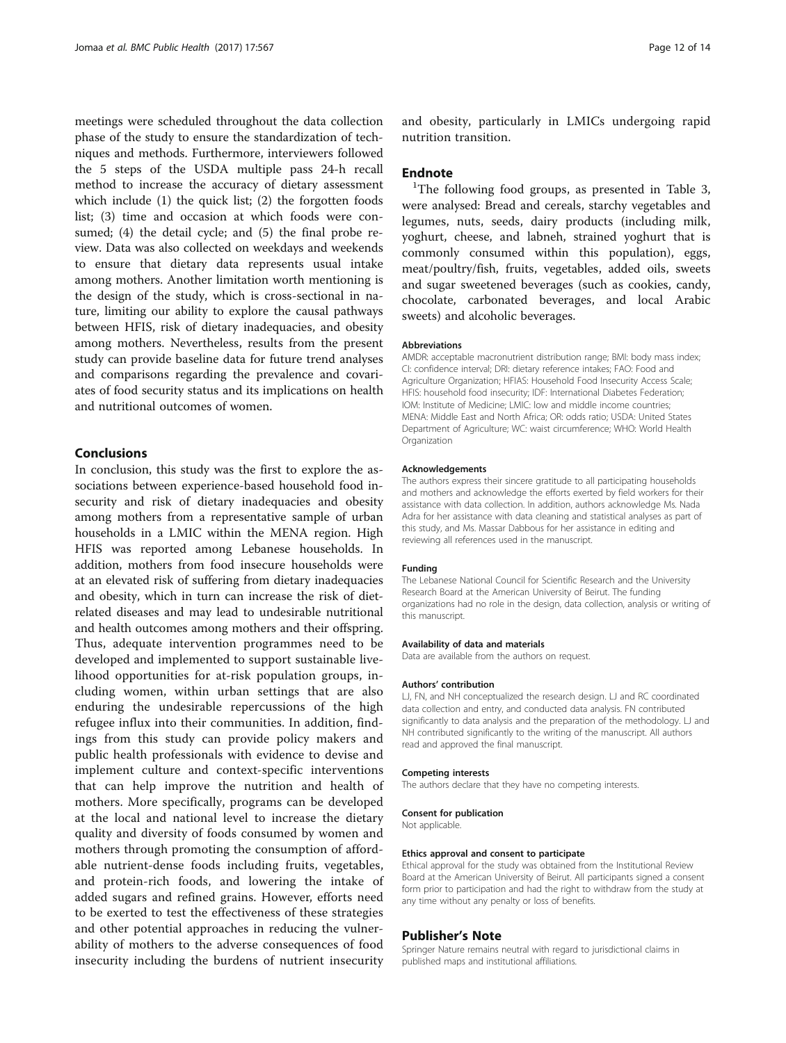meetings were scheduled throughout the data collection phase of the study to ensure the standardization of techniques and methods. Furthermore, interviewers followed the 5 steps of the USDA multiple pass 24-h recall method to increase the accuracy of dietary assessment which include (1) the quick list; (2) the forgotten foods list; (3) time and occasion at which foods were consumed; (4) the detail cycle; and (5) the final probe review. Data was also collected on weekdays and weekends to ensure that dietary data represents usual intake among mothers. Another limitation worth mentioning is the design of the study, which is cross-sectional in nature, limiting our ability to explore the causal pathways between HFIS, risk of dietary inadequacies, and obesity among mothers. Nevertheless, results from the present study can provide baseline data for future trend analyses and comparisons regarding the prevalence and covariates of food security status and its implications on health and nutritional outcomes of women.

# Conclusions

In conclusion, this study was the first to explore the associations between experience-based household food insecurity and risk of dietary inadequacies and obesity among mothers from a representative sample of urban households in a LMIC within the MENA region. High HFIS was reported among Lebanese households. In addition, mothers from food insecure households were at an elevated risk of suffering from dietary inadequacies and obesity, which in turn can increase the risk of dietrelated diseases and may lead to undesirable nutritional and health outcomes among mothers and their offspring. Thus, adequate intervention programmes need to be developed and implemented to support sustainable livelihood opportunities for at-risk population groups, including women, within urban settings that are also enduring the undesirable repercussions of the high refugee influx into their communities. In addition, findings from this study can provide policy makers and public health professionals with evidence to devise and implement culture and context-specific interventions that can help improve the nutrition and health of mothers. More specifically, programs can be developed at the local and national level to increase the dietary quality and diversity of foods consumed by women and mothers through promoting the consumption of affordable nutrient-dense foods including fruits, vegetables, and protein-rich foods, and lowering the intake of added sugars and refined grains. However, efforts need to be exerted to test the effectiveness of these strategies and other potential approaches in reducing the vulnerability of mothers to the adverse consequences of food insecurity including the burdens of nutrient insecurity

and obesity, particularly in LMICs undergoing rapid nutrition transition.

# **Endnote**

<sup>1</sup>The following food groups, as presented in Table [3](#page-6-0), were analysed: Bread and cereals, starchy vegetables and legumes, nuts, seeds, dairy products (including milk, yoghurt, cheese, and labneh, strained yoghurt that is commonly consumed within this population), eggs, meat/poultry/fish, fruits, vegetables, added oils, sweets and sugar sweetened beverages (such as cookies, candy, chocolate, carbonated beverages, and local Arabic sweets) and alcoholic beverages.

#### Abbreviations

AMDR: acceptable macronutrient distribution range; BMI: body mass index; CI: confidence interval; DRI: dietary reference intakes; FAO: Food and Agriculture Organization; HFIAS: Household Food Insecurity Access Scale; HFIS: household food insecurity; IDF: International Diabetes Federation; IOM: Institute of Medicine; LMIC: low and middle income countries; MENA: Middle East and North Africa; OR: odds ratio; USDA: United States Department of Agriculture; WC: waist circumference; WHO: World Health Organization

#### Acknowledgements

The authors express their sincere gratitude to all participating households and mothers and acknowledge the efforts exerted by field workers for their assistance with data collection. In addition, authors acknowledge Ms. Nada Adra for her assistance with data cleaning and statistical analyses as part of this study, and Ms. Massar Dabbous for her assistance in editing and reviewing all references used in the manuscript.

#### Funding

The Lebanese National Council for Scientific Research and the University Research Board at the American University of Beirut. The funding organizations had no role in the design, data collection, analysis or writing of this manuscript.

#### Availability of data and materials

Data are available from the authors on request.

#### Authors' contribution

LJ, FN, and NH conceptualized the research design. LJ and RC coordinated data collection and entry, and conducted data analysis. FN contributed significantly to data analysis and the preparation of the methodology. LJ and NH contributed significantly to the writing of the manuscript. All authors read and approved the final manuscript.

#### Competing interests

The authors declare that they have no competing interests.

#### Consent for publication

Not applicable.

#### Ethics approval and consent to participate

Ethical approval for the study was obtained from the Institutional Review Board at the American University of Beirut. All participants signed a consent form prior to participation and had the right to withdraw from the study at any time without any penalty or loss of benefits.

#### Publisher's Note

Springer Nature remains neutral with regard to jurisdictional claims in published maps and institutional affiliations.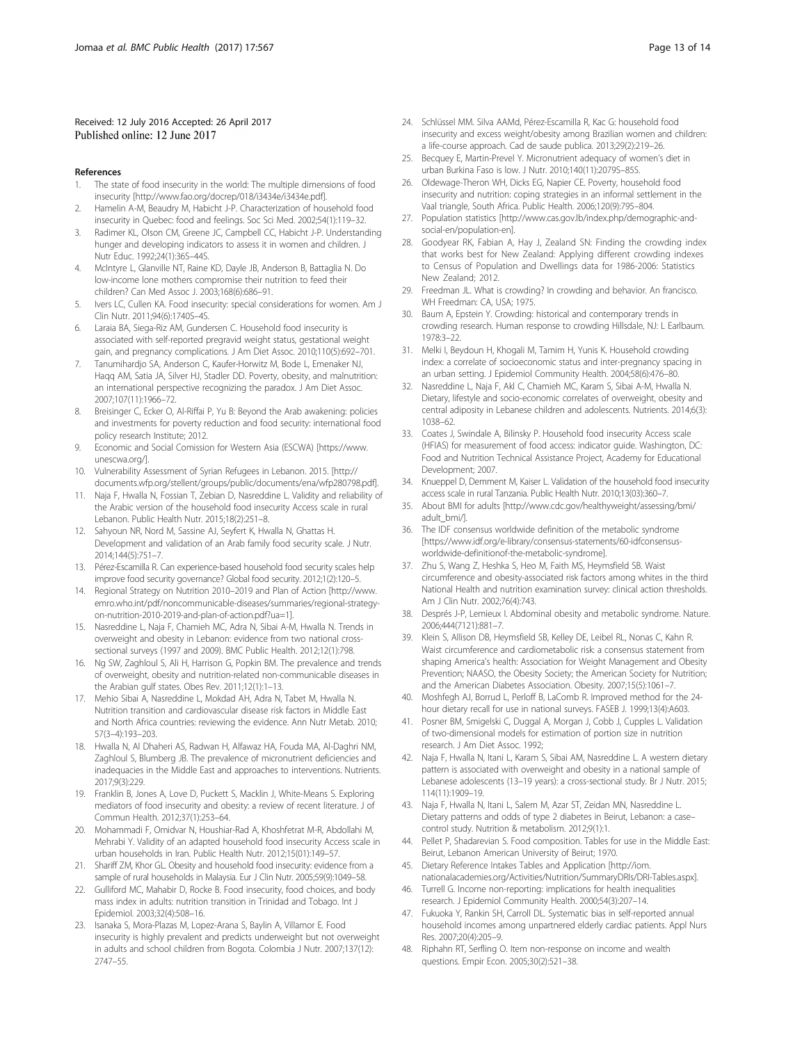## <span id="page-12-0"></span>Received: 12 July 2016 Accepted: 26 April 2017 Published online: 12 June 2017

#### References

- 1. The state of food insecurity in the world: The multiple dimensions of food insecurity [[http://www.fao.org/docrep/018/i3434e/i3434e.pdf\]](http://www.fao.org/docrep/018/i3434e/i3434e.pdf).
- 2. Hamelin A-M, Beaudry M, Habicht J-P. Characterization of household food insecurity in Quebec: food and feelings. Soc Sci Med. 2002;54(1):119–32.
- Radimer KL, Olson CM, Greene JC, Campbell CC, Habicht J-P. Understanding hunger and developing indicators to assess it in women and children. J Nutr Educ. 1992;24(1):36S–44S.
- 4. McIntyre L, Glanville NT, Raine KD, Dayle JB, Anderson B, Battaglia N. Do low-income lone mothers compromise their nutrition to feed their children? Can Med Assoc J. 2003;168(6):686–91.
- 5. Ivers LC, Cullen KA. Food insecurity: special considerations for women. Am J Clin Nutr. 2011;94(6):1740S–4S.
- 6. Laraia BA, Siega-Riz AM, Gundersen C. Household food insecurity is associated with self-reported pregravid weight status, gestational weight gain, and pregnancy complications. J Am Diet Assoc. 2010;110(5):692–701.
- 7. Tanumihardjo SA, Anderson C, Kaufer-Horwitz M, Bode L, Emenaker NJ, Haqq AM, Satia JA, Silver HJ, Stadler DD. Poverty, obesity, and malnutrition: an international perspective recognizing the paradox. J Am Diet Assoc. 2007;107(11):1966–72.
- 8. Breisinger C, Ecker O, Al-Riffai P, Yu B: Beyond the Arab awakening: policies and investments for poverty reduction and food security: international food policy research Institute; 2012.
- 9. Economic and Social Comission for Western Asia (ESCWA) [[https://www.](https://www.unescwa.org) [unescwa.org/](https://www.unescwa.org)].
- 10. Vulnerability Assessment of Syrian Refugees in Lebanon. 2015. [\[http://](http://documents.wfp.org/stellent/groups/public/documents/ena/wfp280798.pdf) [documents.wfp.org/stellent/groups/public/documents/ena/wfp280798.pdf\]](http://documents.wfp.org/stellent/groups/public/documents/ena/wfp280798.pdf).
- 11. Naja F, Hwalla N, Fossian T, Zebian D, Nasreddine L. Validity and reliability of the Arabic version of the household food insecurity Access scale in rural Lebanon. Public Health Nutr. 2015;18(2):251–8.
- 12. Sahyoun NR, Nord M, Sassine AJ, Seyfert K, Hwalla N, Ghattas H. Development and validation of an Arab family food security scale. J Nutr. 2014;144(5):751–7.
- 13. Pérez-Escamilla R. Can experience-based household food security scales help improve food security governance? Global food security. 2012;1(2):120–5.
- 14. Regional Strategy on Nutrition 2010–2019 and Plan of Action [\[http://www.](http://www.emro.who.int/pdf/noncommunicable-diseases/summaries/regional-strategy-on-nutrition-2010-2019-and-plan-of-action.pdf?ua=1) [emro.who.int/pdf/noncommunicable-diseases/summaries/regional-strategy](http://www.emro.who.int/pdf/noncommunicable-diseases/summaries/regional-strategy-on-nutrition-2010-2019-and-plan-of-action.pdf?ua=1)[on-nutrition-2010-2019-and-plan-of-action.pdf?ua=1\]](http://www.emro.who.int/pdf/noncommunicable-diseases/summaries/regional-strategy-on-nutrition-2010-2019-and-plan-of-action.pdf?ua=1).
- 15. Nasreddine L, Naja F, Chamieh MC, Adra N, Sibai A-M, Hwalla N. Trends in overweight and obesity in Lebanon: evidence from two national crosssectional surveys (1997 and 2009). BMC Public Health. 2012;12(1):798.
- 16. Ng SW, Zaghloul S, Ali H, Harrison G, Popkin BM. The prevalence and trends of overweight, obesity and nutrition-related non-communicable diseases in the Arabian gulf states. Obes Rev. 2011;12(1):1–13.
- 17. Mehio Sibai A, Nasreddine L, Mokdad AH, Adra N, Tabet M, Hwalla N. Nutrition transition and cardiovascular disease risk factors in Middle East and North Africa countries: reviewing the evidence. Ann Nutr Metab. 2010; 57(3–4):193–203.
- 18. Hwalla N, Al Dhaheri AS, Radwan H, Alfawaz HA, Fouda MA, Al-Daghri NM, Zaghloul S, Blumberg JB. The prevalence of micronutrient deficiencies and inadequacies in the Middle East and approaches to interventions. Nutrients. 2017;9(3):229.
- 19. Franklin B, Jones A, Love D, Puckett S, Macklin J, White-Means S. Exploring mediators of food insecurity and obesity: a review of recent literature. J of Commun Health. 2012;37(1):253–64.
- 20. Mohammadi F, Omidvar N, Houshiar-Rad A, Khoshfetrat M-R, Abdollahi M, Mehrabi Y. Validity of an adapted household food insecurity Access scale in urban households in Iran. Public Health Nutr. 2012;15(01):149–57.
- 21. Shariff ZM, Khor GL. Obesity and household food insecurity: evidence from a sample of rural households in Malaysia. Eur J Clin Nutr. 2005;59(9):1049–58.
- 22. Gulliford MC, Mahabir D, Rocke B. Food insecurity, food choices, and body mass index in adults: nutrition transition in Trinidad and Tobago. Int J Epidemiol. 2003;32(4):508–16.
- 23. Isanaka S, Mora-Plazas M, Lopez-Arana S, Baylin A, Villamor E. Food insecurity is highly prevalent and predicts underweight but not overweight in adults and school children from Bogota. Colombia J Nutr. 2007;137(12): 2747–55.
- 24. Schlüssel MM. Silva AAMd, Pérez-Escamilla R, Kac G: household food insecurity and excess weight/obesity among Brazilian women and children: a life-course approach. Cad de saude publica. 2013;29(2):219–26.
- 25. Becquey E, Martin-Prevel Y. Micronutrient adequacy of women's diet in urban Burkina Faso is low. J Nutr. 2010;140(11):2079S–85S.
- 26. Oldewage-Theron WH, Dicks EG, Napier CE. Poverty, household food insecurity and nutrition: coping strategies in an informal settlement in the Vaal triangle, South Africa. Public Health. 2006;120(9):795–804.
- 27. Population statistics [\[http://www.cas.gov.lb/index.php/demographic-and](http://www.cas.gov.lb/index.php/demographic-and-social-en/population-en)[social-en/population-en](http://www.cas.gov.lb/index.php/demographic-and-social-en/population-en)].
- 28. Goodyear RK, Fabian A, Hay J, Zealand SN: Finding the crowding index that works best for New Zealand: Applying different crowding indexes to Census of Population and Dwellings data for 1986-2006: Statistics New Zealand; 2012.
- 29. Freedman JL. What is crowding? In crowding and behavior. An francisco. WH Freedman: CA, USA; 1975.
- 30. Baum A, Epstein Y. Crowding: historical and contemporary trends in crowding research. Human response to crowding Hillsdale, NJ: L Earlbaum. 1978:3–22.
- 31. Melki I, Beydoun H, Khogali M, Tamim H, Yunis K. Household crowding index: a correlate of socioeconomic status and inter-pregnancy spacing in an urban setting. J Epidemiol Community Health. 2004;58(6):476–80.
- 32. Nasreddine L, Naja F, Akl C, Chamieh MC, Karam S, Sibai A-M, Hwalla N. Dietary, lifestyle and socio-economic correlates of overweight, obesity and central adiposity in Lebanese children and adolescents. Nutrients. 2014;6(3): 1038–62.
- 33. Coates J, Swindale A, Bilinsky P. Household food insecurity Access scale (HFIAS) for measurement of food access: indicator guide. Washington, DC: Food and Nutrition Technical Assistance Project, Academy for Educational Development; 2007.
- 34. Knueppel D, Demment M, Kaiser L. Validation of the household food insecurity access scale in rural Tanzania. Public Health Nutr. 2010;13(03):360–7.
- 35. About BMI for adults [[http://www.cdc.gov/healthyweight/assessing/bmi/](http://www.cdc.gov/healthyweight/assessing/bmi/adult_bmi/) [adult\\_bmi/](http://www.cdc.gov/healthyweight/assessing/bmi/adult_bmi/)l.
- 36. The IDF consensus worldwide definition of the metabolic syndrome [[https://www.idf.org/e-library/consensus-statements/60-idfconsensus](https://www.idf.org/e-library/consensus-statements/60-idfconsensus-worldwide-definitionof-the-metabolic-syndrome)[worldwide-definitionof-the-metabolic-syndrome\]](https://www.idf.org/e-library/consensus-statements/60-idfconsensus-worldwide-definitionof-the-metabolic-syndrome).
- 37. Zhu S, Wang Z, Heshka S, Heo M, Faith MS, Heymsfield SB. Waist circumference and obesity-associated risk factors among whites in the third National Health and nutrition examination survey: clinical action thresholds. Am J Clin Nutr. 2002;76(4):743.
- 38. Després J-P, Lemieux I. Abdominal obesity and metabolic syndrome. Nature. 2006;444(7121):881–7.
- 39. Klein S, Allison DB, Heymsfield SB, Kelley DE, Leibel RL, Nonas C, Kahn R. Waist circumference and cardiometabolic risk: a consensus statement from shaping America's health: Association for Weight Management and Obesity Prevention; NAASO, the Obesity Society; the American Society for Nutrition; and the American Diabetes Association. Obesity. 2007;15(5):1061–7.
- 40. Moshfegh AJ, Borrud L, Perloff B, LaComb R. Improved method for the 24 hour dietary recall for use in national surveys. FASEB J. 1999;13(4):A603.
- 41. Posner BM, Smigelski C, Duggal A, Morgan J, Cobb J, Cupples L. Validation of two-dimensional models for estimation of portion size in nutrition research. J Am Diet Assoc. 1992;
- 42. Naja F, Hwalla N, Itani L, Karam S, Sibai AM, Nasreddine L. A western dietary pattern is associated with overweight and obesity in a national sample of Lebanese adolescents (13–19 years): a cross-sectional study. Br J Nutr. 2015; 114(11):1909–19.
- 43. Naja F, Hwalla N, Itani L, Salem M, Azar ST, Zeidan MN, Nasreddine L. Dietary patterns and odds of type 2 diabetes in Beirut, Lebanon: a case– control study. Nutrition & metabolism. 2012;9(1):1.
- Pellet P, Shadarevian S. Food composition. Tables for use in the Middle East: Beirut, Lebanon American University of Beirut; 1970.
- 45. Dietary Reference Intakes Tables and Application [\[http://iom.](http://iom.nationalacademies.org/Activities/Nutrition/SummaryDRIs/DRI-Tables.aspx) [nationalacademies.org/Activities/Nutrition/SummaryDRIs/DRI-Tables.aspx](http://iom.nationalacademies.org/Activities/Nutrition/SummaryDRIs/DRI-Tables.aspx)].
- 46. Turrell G. Income non-reporting: implications for health inequalities research. J Epidemiol Community Health. 2000;54(3):207–14.
- 47. Fukuoka Y, Rankin SH, Carroll DL. Systematic bias in self-reported annual household incomes among unpartnered elderly cardiac patients. Appl Nurs Res. 2007;20(4):205–9.
- 48. Riphahn RT, Serfling O. Item non-response on income and wealth questions. Empir Econ. 2005;30(2):521–38.